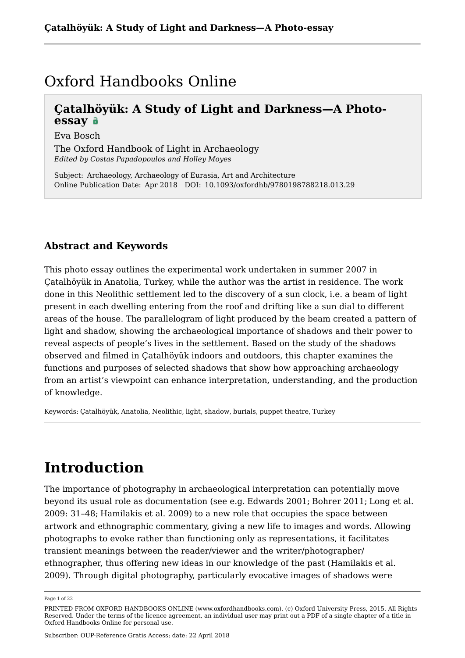## Oxford Handbooks Online

## **Çatalhöyük: A Study of Light and Darkness—A Photoessay**

Eva Bosch

The Oxford Handbook of Light in Archaeology *Edited by Costas Papadopoulos and Holley Moyes*

Subject: Archaeology, Archaeology of Eurasia, Art and Architecture Online Publication Date: Apr 2018 DOI: 10.1093/oxfordhb/9780198788218.013.29

## **Abstract and Keywords**

This photo essay outlines the experimental work undertaken in summer 2007 in Çatalhöyük in Anatolia, Turkey, while the author was the artist in residence. The work done in this Neolithic settlement led to the discovery of a sun clock, i.e. a beam of light present in each dwelling entering from the roof and drifting like a sun dial to different areas of the house. The parallelogram of light produced by the beam created a pattern of light and shadow, showing the archaeological importance of shadows and their power to reveal aspects of people's lives in the settlement. Based on the study of the shadows observed and filmed in Çatalhöyük indoors and outdoors, this chapter examines the functions and purposes of selected shadows that show how approaching archaeology from an artist's viewpoint can enhance interpretation, understanding, and the production of knowledge.

Keywords: Çatalhöyük, Anatolia, Neolithic, light, shadow, burials, puppet theatre, Turkey

## **Introduction**

The importance of photography in archaeological interpretation can potentially move beyond its usual role as documentation (see e.g. Edwards 2001; Bohrer 2011; Long et al. 2009: 31–48; Hamilakis et al. 2009) to a new role that occupies the space between artwork and ethnographic commentary, giving a new life to images and words. Allowing photographs to evoke rather than functioning only as representations, it facilitates transient meanings between the reader/viewer and the writer/photographer/ ethnographer, thus offering new ideas in our knowledge of the past (Hamilakis et al. 2009). Through digital photography, particularly evocative images of shadows were

Page 1 of 22

PRINTED FROM OXFORD HANDBOOKS ONLINE (www.oxfordhandbooks.com). (c) Oxford University Press, 2015. All Rights Reserved. Under the terms of the licence agreement, an individual user may print out a PDF of a single chapter of a title in Oxford Handbooks Online for personal use.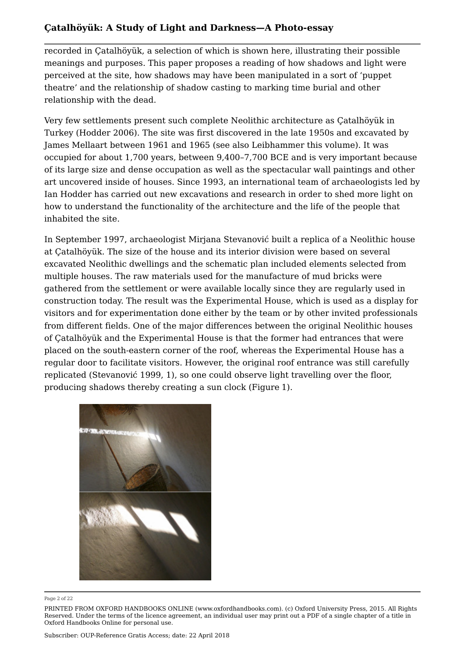recorded in Çatalhöyük, a selection of which is shown here, illustrating their possible meanings and purposes. This paper proposes a reading of how shadows and light were perceived at the site, how shadows may have been manipulated in a sort of 'puppet theatre' and the relationship of shadow casting to marking time burial and other relationship with the dead.

Very few settlements present such complete Neolithic architecture as Çatalhöyük in Turkey (Hodder 2006). The site was first discovered in the late 1950s and excavated by James Mellaart between 1961 and 1965 (see also Leibhammer this volume). It was occupied for about 1,700 years, between 9,400–7,700 BCE and is very important because of its large size and dense occupation as well as the spectacular wall paintings and other art uncovered inside of houses. Since 1993, an international team of archaeologists led by Ian Hodder has carried out new excavations and research in order to shed more light on how to understand the functionality of the architecture and the life of the people that inhabited the site.

In September 1997, archaeologist Mirjana Stevanović built a replica of a Neolithic house at Çatalhöyük. The size of the house and its interior division were based on several excavated Neolithic dwellings and the schematic plan included elements selected from multiple houses. The raw materials used for the manufacture of mud bricks were gathered from the settlement or were available locally since they are regularly used in construction today. The result was the Experimental House, which is used as a display for visitors and for experimentation done either by the team or by other invited professionals from different fields. One of the major differences between the original Neolithic houses of Çatalhöyük and the Experimental House is that the former had entrances that were placed on the south-eastern corner of the roof, whereas the Experimental House has a regular door to facilitate visitors. However, the original roof entrance was still carefully replicated (Stevanović 1999, 1), so one could observe light travelling over the floor, producing shadows thereby creating a sun clock (Figure 1).



Page 2 of 22

PRINTED FROM OXFORD HANDBOOKS ONLINE (www.oxfordhandbooks.com). (c) Oxford University Press, 2015. All Rights Reserved. Under the terms of the licence agreement, an individual user may print out a PDF of a single chapter of a title in Oxford Handbooks Online for personal use.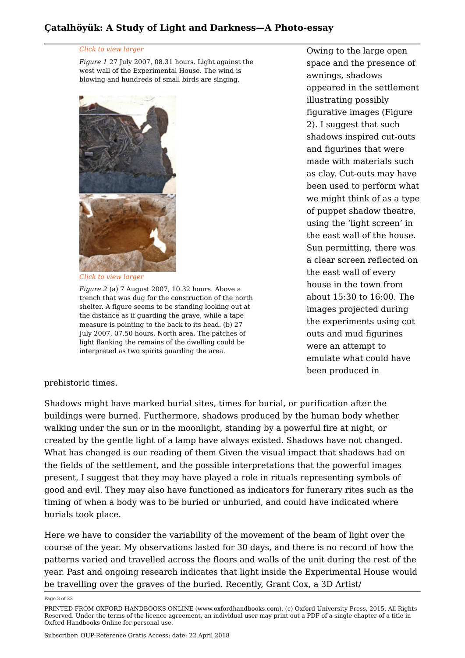#### *Click to view larger*

*Figure 1* 27 July 2007, 08.31 hours. Light against the west wall of the Experimental House. The wind is blowing and hundreds of small birds are singing.



*Click to view larger*

*Figure 2* (a) 7 August 2007, 10.32 hours. Above a trench that was dug for the construction of the north shelter. A figure seems to be standing looking out at the distance as if guarding the grave, while a tape measure is pointing to the back to its head. (b) 27 July 2007, 07.50 hours. North area. The patches of light flanking the remains of the dwelling could be interpreted as two spirits guarding the area.

Owing to the large open space and the presence of awnings, shadows appeared in the settlement illustrating possibly figurative images (Figure 2). I suggest that such shadows inspired cut-outs and figurines that were made with materials such as clay. Cut-outs may have been used to perform what we might think of as a type of puppet shadow theatre, using the 'light screen' in the east wall of the house. Sun permitting, there was a clear screen reflected on the east wall of every house in the town from about 15:30 to 16:00. The images projected during the experiments using cut outs and mud figurines were an attempt to emulate what could have been produced in

### prehistoric times.

Shadows might have marked burial sites, times for burial, or purification after the buildings were burned. Furthermore, shadows produced by the human body whether walking under the sun or in the moonlight, standing by a powerful fire at night, or created by the gentle light of a lamp have always existed. Shadows have not changed. What has changed is our reading of them Given the visual impact that shadows had on the fields of the settlement, and the possible interpretations that the powerful images present, I suggest that they may have played a role in rituals representing symbols of good and evil. They may also have functioned as indicators for funerary rites such as the timing of when a body was to be buried or unburied, and could have indicated where burials took place.

Here we have to consider the variability of the movement of the beam of light over the course of the year. My observations lasted for 30 days, and there is no record of how the patterns varied and travelled across the floors and walls of the unit during the rest of the year. Past and ongoing research indicates that light inside the Experimental House would be travelling over the graves of the buried. Recently, Grant Cox, a 3D Artist/

Page 3 of 22

PRINTED FROM OXFORD HANDBOOKS ONLINE (www.oxfordhandbooks.com). (c) Oxford University Press, 2015. All Rights Reserved. Under the terms of the licence agreement, an individual user may print out a PDF of a single chapter of a title in Oxford Handbooks Online for personal use.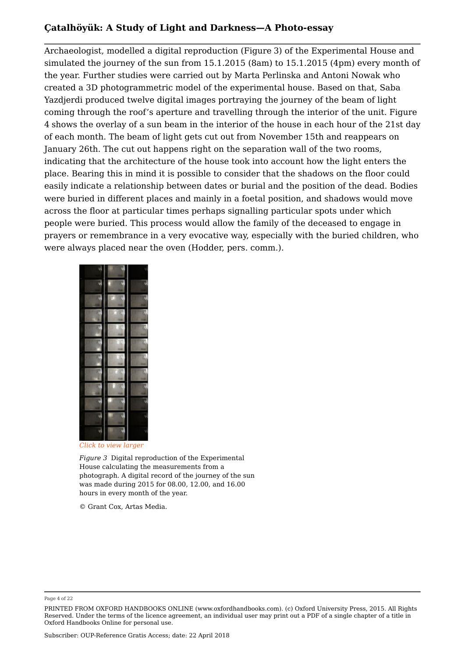Archaeologist, modelled a digital reproduction (Figure 3) of the Experimental House and simulated the journey of the sun from 15.1.2015 (8am) to 15.1.2015 (4pm) every month of the year. Further studies were carried out by Marta Perlinska and Antoni Nowak who created a 3D photogrammetric model of the experimental house. Based on that, Saba Yazdjerdi produced twelve digital images portraying the journey of the beam of light coming through the roof's aperture and travelling through the interior of the unit. Figure 4 shows the overlay of a sun beam in the interior of the house in each hour of the 21st day of each month. The beam of light gets cut out from November 15th and reappears on January 26th. The cut out happens right on the separation wall of the two rooms, indicating that the architecture of the house took into account how the light enters the place. Bearing this in mind it is possible to consider that the shadows on the floor could easily indicate a relationship between dates or burial and the position of the dead. Bodies were buried in different places and mainly in a foetal position, and shadows would move across the floor at particular times perhaps signalling particular spots under which people were buried. This process would allow the family of the deceased to engage in prayers or remembrance in a very evocative way, especially with the buried children, who were always placed near the oven (Hodder, pers. comm.).



*Click to view larger*

*Figure 3* Digital reproduction of the Experimental House calculating the measurements from a photograph. A digital record of the journey of the sun was made during 2015 for 08.00, 12.00, and 16.00 hours in every month of the year.

© Grant Cox, Artas Media.

Page 4 of 22

PRINTED FROM OXFORD HANDBOOKS ONLINE (www.oxfordhandbooks.com). (c) Oxford University Press, 2015. All Rights Reserved. Under the terms of the licence agreement, an individual user may print out a PDF of a single chapter of a title in Oxford Handbooks Online for personal use.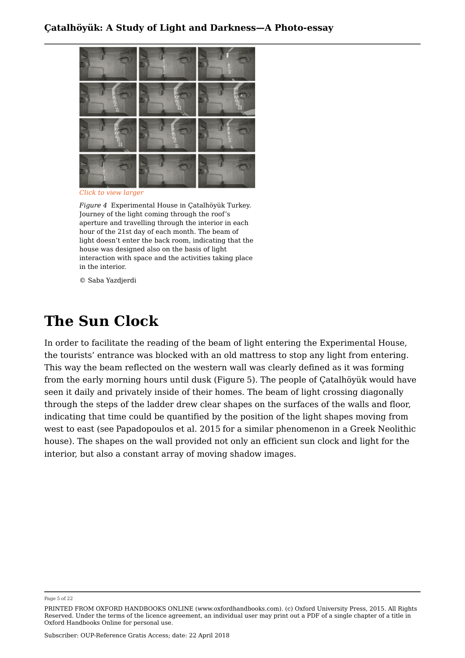

*Click to view larger*

*Figure 4* Experimental House in Çatalhöyük Turkey. Journey of the light coming through the roof's aperture and travelling through the interior in each hour of the 21st day of each month. The beam of light doesn't enter the back room, indicating that the house was designed also on the basis of light interaction with space and the activities taking place in the interior.

© Saba Yazdjerdi

## **The Sun Clock**

In order to facilitate the reading of the beam of light entering the Experimental House, the tourists' entrance was blocked with an old mattress to stop any light from entering. This way the beam reflected on the western wall was clearly defined as it was forming from the early morning hours until dusk (Figure 5). The people of Çatalhöyük would have seen it daily and privately inside of their homes. The beam of light crossing diagonally through the steps of the ladder drew clear shapes on the surfaces of the walls and floor, indicating that time could be quantified by the position of the light shapes moving from west to east (see Papadopoulos et al. 2015 for a similar phenomenon in a Greek Neolithic house). The shapes on the wall provided not only an efficient sun clock and light for the interior, but also a constant array of moving shadow images.

Page 5 of 22

PRINTED FROM OXFORD HANDBOOKS ONLINE (www.oxfordhandbooks.com). (c) Oxford University Press, 2015. All Rights Reserved. Under the terms of the licence agreement, an individual user may print out a PDF of a single chapter of a title in Oxford Handbooks Online for personal use.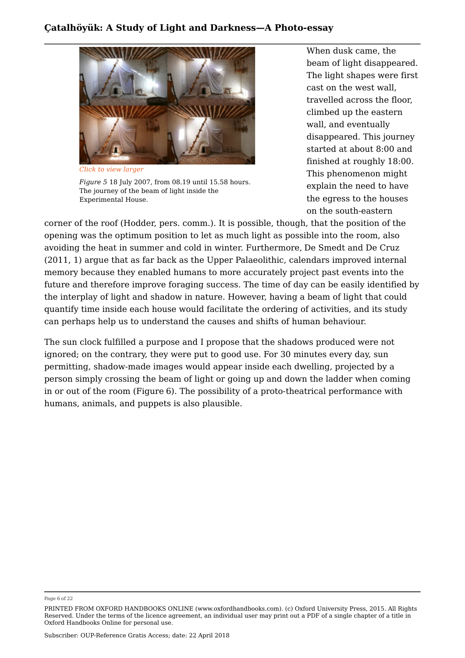

*Figure 5* 18 July 2007, from 08.19 until 15.58 hours. The journey of the beam of light inside the Experimental House.

When dusk came, the beam of light disappeared. The light shapes were first cast on the west wall, travelled across the floor, climbed up the eastern wall, and eventually disappeared. This journey started at about 8:00 and finished at roughly 18:00. This phenomenon might explain the need to have the egress to the houses on the south-eastern

corner of the roof (Hodder, pers. comm.). It is possible, though, that the position of the opening was the optimum position to let as much light as possible into the room, also avoiding the heat in summer and cold in winter. Furthermore, De Smedt and De Cruz (2011, 1) argue that as far back as the Upper Palaeolithic, calendars improved internal memory because they enabled humans to more accurately project past events into the future and therefore improve foraging success. The time of day can be easily identified by the interplay of light and shadow in nature. However, having a beam of light that could quantify time inside each house would facilitate the ordering of activities, and its study can perhaps help us to understand the causes and shifts of human behaviour.

The sun clock fulfilled a purpose and I propose that the shadows produced were not ignored; on the contrary, they were put to good use. For 30 minutes every day, sun permitting, shadow-made images would appear inside each dwelling, projected by a person simply crossing the beam of light or going up and down the ladder when coming in or out of the room (Figure 6). The possibility of a proto-theatrical performance with humans, animals, and puppets is also plausible.

Page 6 of 22

PRINTED FROM OXFORD HANDBOOKS ONLINE (www.oxfordhandbooks.com). (c) Oxford University Press, 2015. All Rights Reserved. Under the terms of the licence agreement, an individual user may print out a PDF of a single chapter of a title in Oxford Handbooks Online for personal use.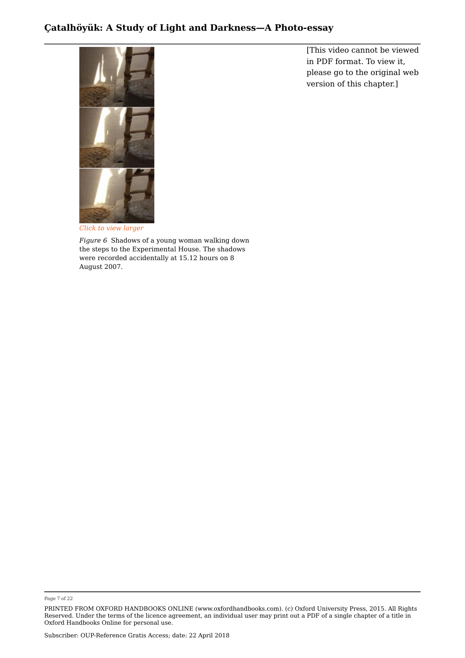

[This video cannot be viewed in PDF format. To view it, please go to the original web version of this chapter.]

*Click to view larger*

*Figure 6* Shadows of a young woman walking down the steps to the Experimental House. The shadows were recorded accidentally at 15.12 hours on 8 August 2007.

Page 7 of 22

PRINTED FROM OXFORD HANDBOOKS ONLINE (www.oxfordhandbooks.com). (c) Oxford University Press, 2015. All Rights Reserved. Under the terms of the licence agreement, an individual user may print out a PDF of a single chapter of a title in Oxford Handbooks Online for personal use.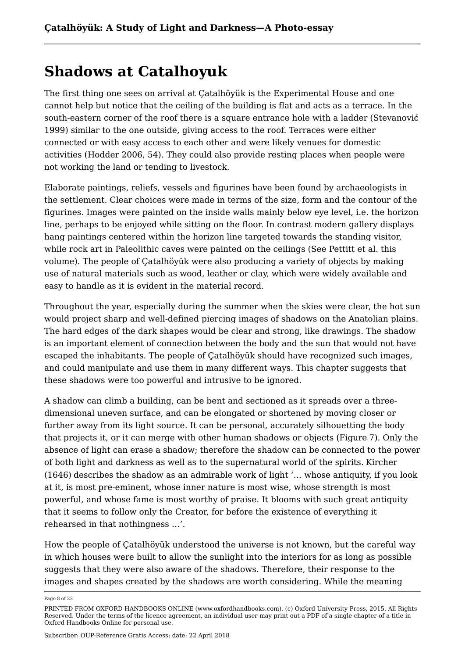## **Shadows at Catalhoyuk**

The first thing one sees on arrival at Çatalhöyük is the Experimental House and one cannot help but notice that the ceiling of the building is flat and acts as a terrace. In the south-eastern corner of the roof there is a square entrance hole with a ladder (Stevanović 1999) similar to the one outside, giving access to the roof. Terraces were either connected or with easy access to each other and were likely venues for domestic activities (Hodder 2006, 54). They could also provide resting places when people were not working the land or tending to livestock.

Elaborate paintings, reliefs, vessels and figurines have been found by archaeologists in the settlement. Clear choices were made in terms of the size, form and the contour of the figurines. Images were painted on the inside walls mainly below eye level, i.e. the horizon line, perhaps to be enjoyed while sitting on the floor. In contrast modern gallery displays hang paintings centered within the horizon line targeted towards the standing visitor, while rock art in Paleolithic caves were painted on the ceilings (See Pettitt et al. this volume). The people of Çatalhöyük were also producing a variety of objects by making use of natural materials such as wood, leather or clay, which were widely available and easy to handle as it is evident in the material record.

Throughout the year, especially during the summer when the skies were clear, the hot sun would project sharp and well-defined piercing images of shadows on the Anatolian plains. The hard edges of the dark shapes would be clear and strong, like drawings. The shadow is an important element of connection between the body and the sun that would not have escaped the inhabitants. The people of Çatalhöyük should have recognized such images, and could manipulate and use them in many different ways. This chapter suggests that these shadows were too powerful and intrusive to be ignored.

A shadow can climb a building, can be bent and sectioned as it spreads over a threedimensional uneven surface, and can be elongated or shortened by moving closer or further away from its light source. It can be personal, accurately silhouetting the body that projects it, or it can merge with other human shadows or objects (Figure 7). Only the absence of light can erase a shadow; therefore the shadow can be connected to the power of both light and darkness as well as to the supernatural world of the spirits. Kircher (1646) describes the shadow as an admirable work of light '… whose antiquity, if you look at it, is most pre-eminent, whose inner nature is most wise, whose strength is most powerful, and whose fame is most worthy of praise. It blooms with such great antiquity that it seems to follow only the Creator, for before the existence of everything it rehearsed in that nothingness …'.

How the people of Çatalhöyük understood the universe is not known, but the careful way in which houses were built to allow the sunlight into the interiors for as long as possible suggests that they were also aware of the shadows. Therefore, their response to the images and shapes created by the shadows are worth considering. While the meaning

Page 8 of 22

PRINTED FROM OXFORD HANDBOOKS ONLINE (www.oxfordhandbooks.com). (c) Oxford University Press, 2015. All Rights Reserved. Under the terms of the licence agreement, an individual user may print out a PDF of a single chapter of a title in Oxford Handbooks Online for personal use.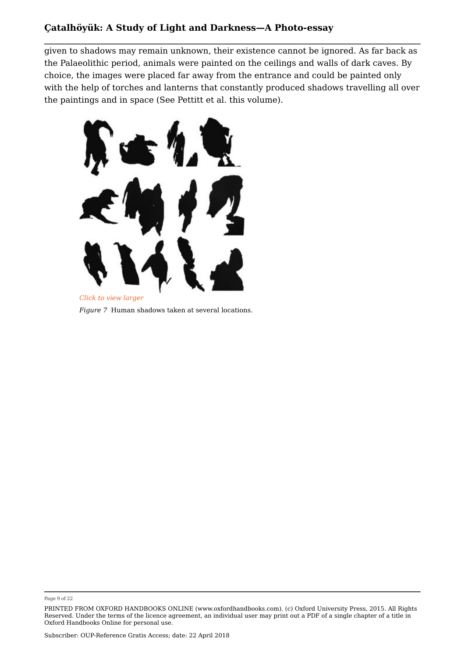given to shadows may remain unknown, their existence cannot be ignored. As far back as the Palaeolithic period, animals were painted on the ceilings and walls of dark caves. By choice, the images were placed far away from the entrance and could be painted only with the help of torches and lanterns that constantly produced shadows travelling all over the paintings and in space (See Pettitt et al. this volume).



*Figure 7* Human shadows taken at several locations.

Page 9 of 22

PRINTED FROM OXFORD HANDBOOKS ONLINE (www.oxfordhandbooks.com). (c) Oxford University Press, 2015. All Rights Reserved. Under the terms of the licence agreement, an individual user may print out a PDF of a single chapter of a title in Oxford Handbooks Online for personal use.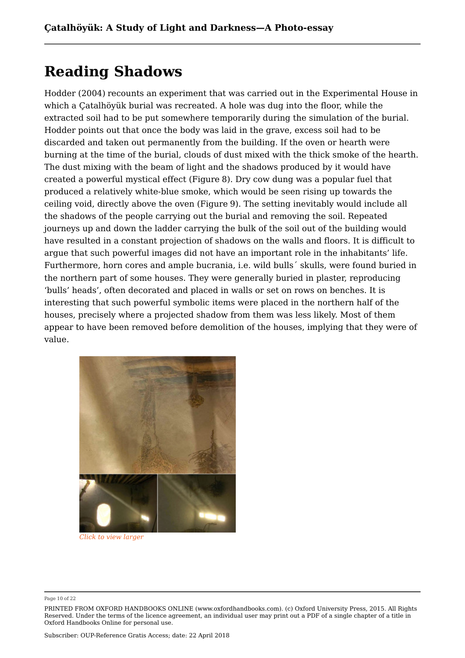## **Reading Shadows**

Hodder (2004) recounts an experiment that was carried out in the Experimental House in which a Çatalhöyük burial was recreated. A hole was dug into the floor, while the extracted soil had to be put somewhere temporarily during the simulation of the burial. Hodder points out that once the body was laid in the grave, excess soil had to be discarded and taken out permanently from the building. If the oven or hearth were burning at the time of the burial, clouds of dust mixed with the thick smoke of the hearth. The dust mixing with the beam of light and the shadows produced by it would have created a powerful mystical effect (Figure 8). Dry cow dung was a popular fuel that produced a relatively white-blue smoke, which would be seen rising up towards the ceiling void, directly above the oven (Figure 9). The setting inevitably would include all the shadows of the people carrying out the burial and removing the soil. Repeated journeys up and down the ladder carrying the bulk of the soil out of the building would have resulted in a constant projection of shadows on the walls and floors. It is difficult to argue that such powerful images did not have an important role in the inhabitants' life. Furthermore, horn cores and ample bucrania, i.e. wild bulls´ skulls, were found buried in the northern part of some houses. They were generally buried in plaster, reproducing 'bulls' heads', often decorated and placed in walls or set on rows on benches. It is interesting that such powerful symbolic items were placed in the northern half of the houses, precisely where a projected shadow from them was less likely. Most of them appear to have been removed before demolition of the houses, implying that they were of value.



*Click to view larger*

Page 10 of 22

PRINTED FROM OXFORD HANDBOOKS ONLINE (www.oxfordhandbooks.com). (c) Oxford University Press, 2015. All Rights Reserved. Under the terms of the licence agreement, an individual user may print out a PDF of a single chapter of a title in Oxford Handbooks Online for personal use.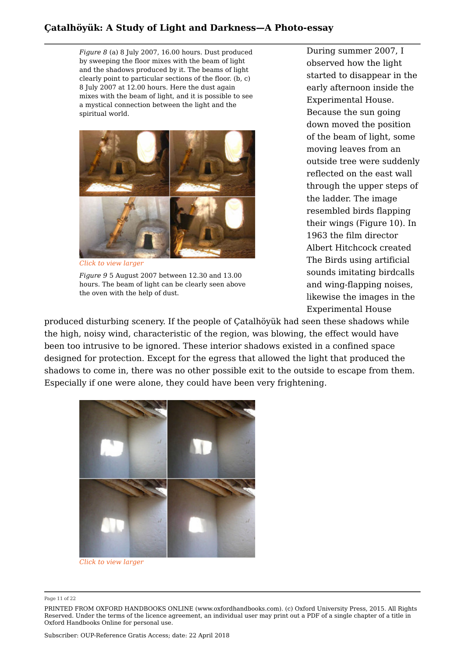*Figure 8* (a) 8 July 2007, 16.00 hours. Dust produced by sweeping the floor mixes with the beam of light and the shadows produced by it. The beams of light clearly point to particular sections of the floor. (b, c) 8 July 2007 at 12.00 hours. Here the dust again mixes with the beam of light, and it is possible to see a mystical connection between the light and the spiritual world.



*Click to view larger*

*Figure 9* 5 August 2007 between 12.30 and 13.00 hours. The beam of light can be clearly seen above the oven with the help of dust.

During summer 2007, I observed how the light started to disappear in the early afternoon inside the Experimental House. Because the sun going down moved the position of the beam of light, some moving leaves from an outside tree were suddenly reflected on the east wall through the upper steps of the ladder. The image resembled birds flapping their wings (Figure 10). In 1963 the film director Albert Hitchcock created The Birds using artificial sounds imitating birdcalls and wing-flapping noises, likewise the images in the Experimental House

produced disturbing scenery. If the people of Çatalhöyük had seen these shadows while the high, noisy wind, characteristic of the region, was blowing, the effect would have been too intrusive to be ignored. These interior shadows existed in a confined space designed for protection. Except for the egress that allowed the light that produced the shadows to come in, there was no other possible exit to the outside to escape from them. Especially if one were alone, they could have been very frightening.



*Click to view larger* 

#### Page 11 of 22

PRINTED FROM OXFORD HANDBOOKS ONLINE (www.oxfordhandbooks.com). (c) Oxford University Press, 2015. All Rights Reserved. Under the terms of the licence agreement, an individual user may print out a PDF of a single chapter of a title in Oxford Handbooks Online for personal use.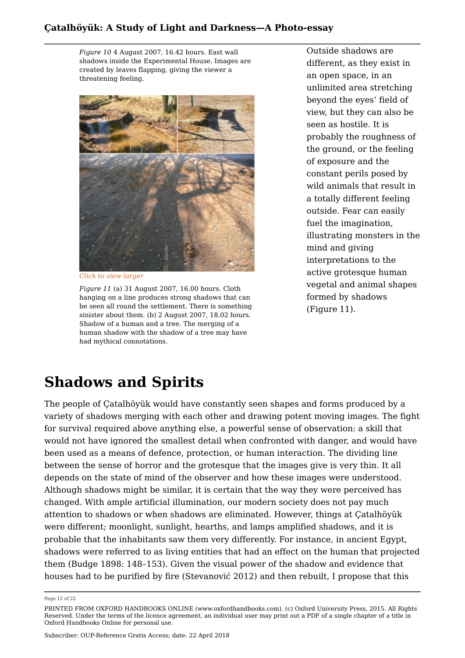*Figure 10* 4 August 2007, 16.42 hours. East wall shadows inside the Experimental House. Images are created by leaves flapping, giving the viewer a threatening feeling.



*Click to view larger*

*Figure 11* (a) 31 August 2007, 16.00 hours. Cloth hanging on a line produces strong shadows that can be seen all round the settlement. There is something sinister about them. (b) 2 August 2007, 18.02 hours. Shadow of a human and a tree. The merging of a human shadow with the shadow of a tree may have had mythical connotations.

Outside shadows are different, as they exist in an open space, in an unlimited area stretching beyond the eyes' field of view, but they can also be seen as hostile. It is probably the roughness of the ground, or the feeling of exposure and the constant perils posed by wild animals that result in a totally different feeling outside. Fear can easily fuel the imagination, illustrating monsters in the mind and giving interpretations to the active grotesque human vegetal and animal shapes formed by shadows (Figure 11).

# **Shadows and Spirits**

The people of Çatalhöyük would have constantly seen shapes and forms produced by a variety of shadows merging with each other and drawing potent moving images. The fight for survival required above anything else, a powerful sense of observation: a skill that would not have ignored the smallest detail when confronted with danger, and would have been used as a means of defence, protection, or human interaction. The dividing line between the sense of horror and the grotesque that the images give is very thin. It all depends on the state of mind of the observer and how these images were understood. Although shadows might be similar, it is certain that the way they were perceived has changed. With ample artificial illumination, our modern society does not pay much attention to shadows or when shadows are eliminated. However, things at Çatalhöyük were different; moonlight, sunlight, hearths, and lamps amplified shadows, and it is probable that the inhabitants saw them very differently. For instance, in ancient Egypt, shadows were referred to as living entities that had an effect on the human that projected them (Budge 1898: 148–153). Given the visual power of the shadow and evidence that houses had to be purified by fire (Stevanović 2012) and then rebuilt, I propose that this

Page 12 of 22

PRINTED FROM OXFORD HANDBOOKS ONLINE (www.oxfordhandbooks.com). (c) Oxford University Press, 2015. All Rights Reserved. Under the terms of the licence agreement, an individual user may print out a PDF of a single chapter of a title in Oxford Handbooks Online for personal use.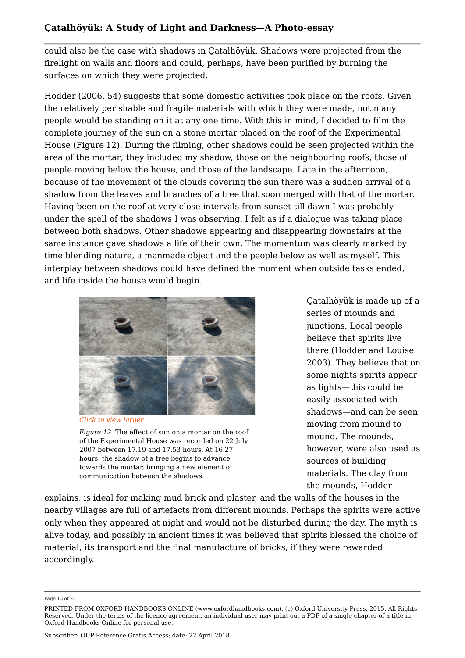could also be the case with shadows in Çatalhöyük. Shadows were projected from the firelight on walls and floors and could, perhaps, have been purified by burning the surfaces on which they were projected.

Hodder (2006, 54) suggests that some domestic activities took place on the roofs. Given the relatively perishable and fragile materials with which they were made, not many people would be standing on it at any one time. With this in mind, I decided to film the complete journey of the sun on a stone mortar placed on the roof of the Experimental House (Figure 12). During the filming, other shadows could be seen projected within the area of the mortar; they included my shadow, those on the neighbouring roofs, those of people moving below the house, and those of the landscape. Late in the afternoon, because of the movement of the clouds covering the sun there was a sudden arrival of a shadow from the leaves and branches of a tree that soon merged with that of the mortar. Having been on the roof at very close intervals from sunset till dawn I was probably under the spell of the shadows I was observing. I felt as if a dialogue was taking place between both shadows. Other shadows appearing and disappearing downstairs at the same instance gave shadows a life of their own. The momentum was clearly marked by time blending nature, a manmade object and the people below as well as myself. This interplay between shadows could have defined the moment when outside tasks ended, and life inside the house would begin.



*Click to view larger*

*Figure 12* The effect of sun on a mortar on the roof of the Experimental House was recorded on 22 July 2007 between 17.19 and 17.53 hours. At 16.27 hours, the shadow of a tree begins to advance towards the mortar, bringing a new element of communication between the shadows.

Çatalhöyük is made up of a series of mounds and junctions. Local people believe that spirits live there (Hodder and Louise 2003). They believe that on some nights spirits appear as lights—this could be easily associated with shadows—and can be seen moving from mound to mound. The mounds, however, were also used as sources of building materials. The clay from the mounds, Hodder

explains, is ideal for making mud brick and plaster, and the walls of the houses in the nearby villages are full of artefacts from different mounds. Perhaps the spirits were active only when they appeared at night and would not be disturbed during the day. The myth is alive today, and possibly in ancient times it was believed that spirits blessed the choice of material, its transport and the final manufacture of bricks, if they were rewarded accordingly.

Page 13 of 22

PRINTED FROM OXFORD HANDBOOKS ONLINE (www.oxfordhandbooks.com). (c) Oxford University Press, 2015. All Rights Reserved. Under the terms of the licence agreement, an individual user may print out a PDF of a single chapter of a title in Oxford Handbooks Online for personal use.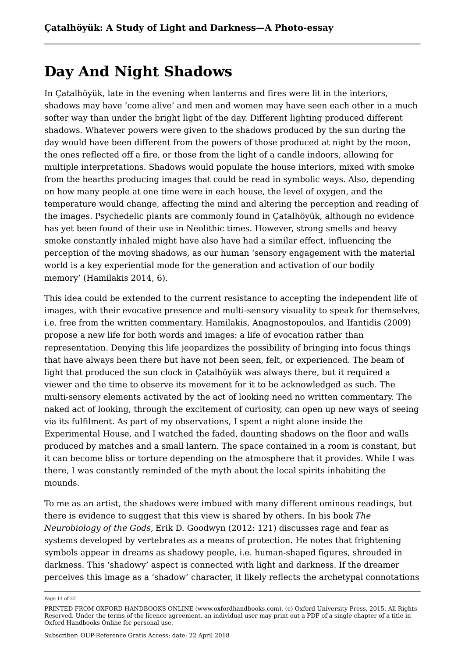## **Day And Night Shadows**

In Çatalhöyük, late in the evening when lanterns and fires were lit in the interiors, shadows may have 'come alive' and men and women may have seen each other in a much softer way than under the bright light of the day. Different lighting produced different shadows. Whatever powers were given to the shadows produced by the sun during the day would have been different from the powers of those produced at night by the moon, the ones reflected off a fire, or those from the light of a candle indoors, allowing for multiple interpretations. Shadows would populate the house interiors, mixed with smoke from the hearths producing images that could be read in symbolic ways. Also, depending on how many people at one time were in each house, the level of oxygen, and the temperature would change, affecting the mind and altering the perception and reading of the images. Psychedelic plants are commonly found in Çatalhöyük, although no evidence has yet been found of their use in Neolithic times. However, strong smells and heavy smoke constantly inhaled might have also have had a similar effect, influencing the perception of the moving shadows, as our human 'sensory engagement with the material world is a key experiential mode for the generation and activation of our bodily memory' (Hamilakis 2014, 6).

This idea could be extended to the current resistance to accepting the independent life of images, with their evocative presence and multi-sensory visuality to speak for themselves, i.e. free from the written commentary. Hamilakis, Anagnostopoulos, and Ifantidis (2009) propose a new life for both words and images: a life of evocation rather than representation. Denying this life jeopardizes the possibility of bringing into focus things that have always been there but have not been seen, felt, or experienced. The beam of light that produced the sun clock in Çatalhöyük was always there, but it required a viewer and the time to observe its movement for it to be acknowledged as such. The multi-sensory elements activated by the act of looking need no written commentary. The naked act of looking, through the excitement of curiosity, can open up new ways of seeing via its fulfilment. As part of my observations, I spent a night alone inside the Experimental House, and I watched the faded, daunting shadows on the floor and walls produced by matches and a small lantern. The space contained in a room is constant, but it can become bliss or torture depending on the atmosphere that it provides. While I was there, I was constantly reminded of the myth about the local spirits inhabiting the mounds.

To me as an artist, the shadows were imbued with many different ominous readings, but there is evidence to suggest that this view is shared by others. In his book *The Neurobiology of the Gods*, Erik D. Goodwyn (2012: 121) discusses rage and fear as systems developed by vertebrates as a means of protection. He notes that frightening symbols appear in dreams as shadowy people, i.e. human-shaped figures, shrouded in darkness. This 'shadowy' aspect is connected with light and darkness. If the dreamer perceives this image as a 'shadow' character, it likely reflects the archetypal connotations

Page 14 of 22

PRINTED FROM OXFORD HANDBOOKS ONLINE (www.oxfordhandbooks.com). (c) Oxford University Press, 2015. All Rights Reserved. Under the terms of the licence agreement, an individual user may print out a PDF of a single chapter of a title in Oxford Handbooks Online for personal use.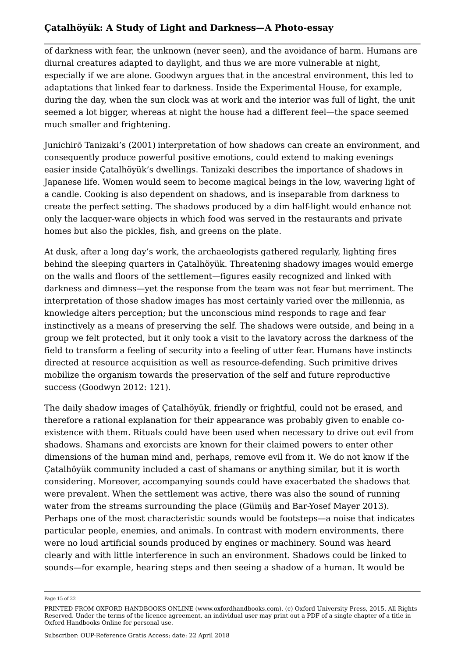of darkness with fear, the unknown (never seen), and the avoidance of harm. Humans are diurnal creatures adapted to daylight, and thus we are more vulnerable at night, especially if we are alone. Goodwyn argues that in the ancestral environment, this led to adaptations that linked fear to darkness. Inside the Experimental House, for example, during the day, when the sun clock was at work and the interior was full of light, the unit seemed a lot bigger, whereas at night the house had a different feel—the space seemed much smaller and frightening.

Junichirō Tanizaki's (2001) interpretation of how shadows can create an environment, and consequently produce powerful positive emotions, could extend to making evenings easier inside Çatalhöyük's dwellings. Tanizaki describes the importance of shadows in Japanese life. Women would seem to become magical beings in the low, wavering light of a candle. Cooking is also dependent on shadows, and is inseparable from darkness to create the perfect setting. The shadows produced by a dim half-light would enhance not only the lacquer-ware objects in which food was served in the restaurants and private homes but also the pickles, fish, and greens on the plate.

At dusk, after a long day's work, the archaeologists gathered regularly, lighting fires behind the sleeping quarters in Çatalhöyük. Threatening shadowy images would emerge on the walls and floors of the settlement—figures easily recognized and linked with darkness and dimness—yet the response from the team was not fear but merriment. The interpretation of those shadow images has most certainly varied over the millennia, as knowledge alters perception; but the unconscious mind responds to rage and fear instinctively as a means of preserving the self. The shadows were outside, and being in a group we felt protected, but it only took a visit to the lavatory across the darkness of the field to transform a feeling of security into a feeling of utter fear. Humans have instincts directed at resource acquisition as well as resource-defending. Such primitive drives mobilize the organism towards the preservation of the self and future reproductive success (Goodwyn 2012: 121).

The daily shadow images of Çatalhöyük, friendly or frightful, could not be erased, and therefore a rational explanation for their appearance was probably given to enable coexistence with them. Rituals could have been used when necessary to drive out evil from shadows. Shamans and exorcists are known for their claimed powers to enter other dimensions of the human mind and, perhaps, remove evil from it. We do not know if the Çatalhöyük community included a cast of shamans or anything similar, but it is worth considering. Moreover, accompanying sounds could have exacerbated the shadows that were prevalent. When the settlement was active, there was also the sound of running water from the streams surrounding the place (Gümüş and Bar-Yosef Mayer 2013). Perhaps one of the most characteristic sounds would be footsteps—a noise that indicates particular people, enemies, and animals. In contrast with modern environments, there were no loud artificial sounds produced by engines or machinery. Sound was heard clearly and with little interference in such an environment. Shadows could be linked to sounds—for example, hearing steps and then seeing a shadow of a human. It would be

Page 15 of 22

PRINTED FROM OXFORD HANDBOOKS ONLINE (www.oxfordhandbooks.com). (c) Oxford University Press, 2015. All Rights Reserved. Under the terms of the licence agreement, an individual user may print out a PDF of a single chapter of a title in Oxford Handbooks Online for personal use.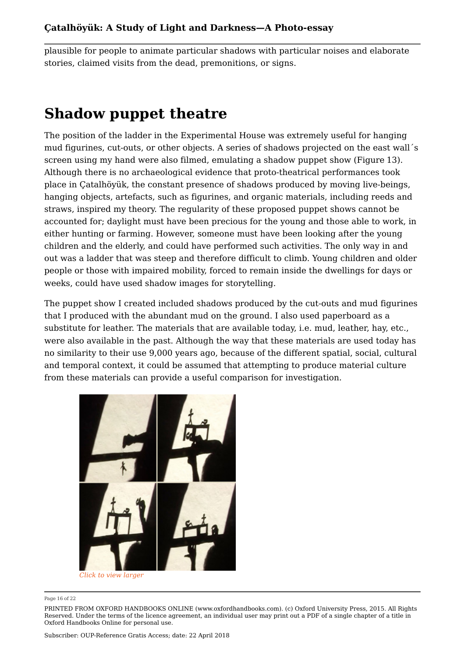plausible for people to animate particular shadows with particular noises and elaborate stories, claimed visits from the dead, premonitions, or signs.

## **Shadow puppet theatre**

The position of the ladder in the Experimental House was extremely useful for hanging mud figurines, cut-outs, or other objects. A series of shadows projected on the east wall´s screen using my hand were also filmed, emulating a shadow puppet show (Figure 13). Although there is no archaeological evidence that proto-theatrical performances took place in Çatalhöyük, the constant presence of shadows produced by moving live-beings, hanging objects, artefacts, such as figurines, and organic materials, including reeds and straws, inspired my theory. The regularity of these proposed puppet shows cannot be accounted for; daylight must have been precious for the young and those able to work, in either hunting or farming. However, someone must have been looking after the young children and the elderly, and could have performed such activities. The only way in and out was a ladder that was steep and therefore difficult to climb. Young children and older people or those with impaired mobility, forced to remain inside the dwellings for days or weeks, could have used shadow images for storytelling.

The puppet show I created included shadows produced by the cut-outs and mud figurines that I produced with the abundant mud on the ground. I also used paperboard as a substitute for leather. The materials that are available today, i.e. mud, leather, hay, etc., were also available in the past. Although the way that these materials are used today has no similarity to their use 9,000 years ago, because of the different spatial, social, cultural and temporal context, it could be assumed that attempting to produce material culture from these materials can provide a useful comparison for investigation.



*Click to view larger*

Page 16 of 22

PRINTED FROM OXFORD HANDBOOKS ONLINE (www.oxfordhandbooks.com). (c) Oxford University Press, 2015. All Rights Reserved. Under the terms of the licence agreement, an individual user may print out a PDF of a single chapter of a title in Oxford Handbooks Online for personal use.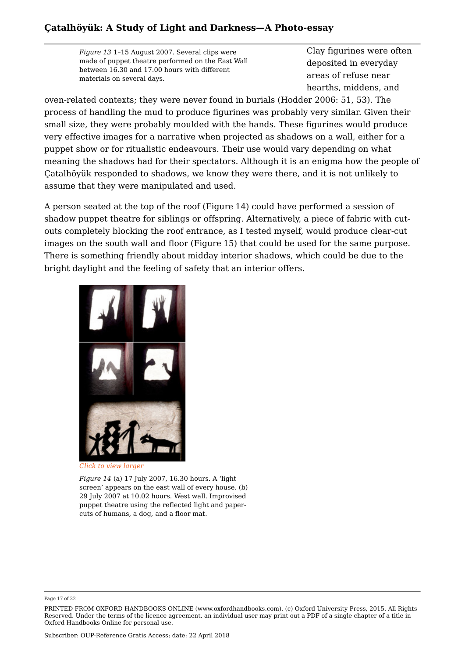*Figure 13* 1–15 August 2007. Several clips were made of puppet theatre performed on the East Wall between 16.30 and 17.00 hours with different materials on several days.

Clay figurines were often deposited in everyday areas of refuse near hearths, middens, and

oven-related contexts; they were never found in burials (Hodder 2006: 51, 53). The process of handling the mud to produce figurines was probably very similar. Given their small size, they were probably moulded with the hands. These figurines would produce very effective images for a narrative when projected as shadows on a wall, either for a puppet show or for ritualistic endeavours. Their use would vary depending on what meaning the shadows had for their spectators. Although it is an enigma how the people of Çatalhöyük responded to shadows, we know they were there, and it is not unlikely to assume that they were manipulated and used.

A person seated at the top of the roof (Figure 14) could have performed a session of shadow puppet theatre for siblings or offspring. Alternatively, a piece of fabric with cutouts completely blocking the roof entrance, as I tested myself, would produce clear-cut images on the south wall and floor (Figure 15) that could be used for the same purpose. There is something friendly about midday interior shadows, which could be due to the bright daylight and the feeling of safety that an interior offers.



*Click to view larger* 

*Figure 14* (a) 17 July 2007, 16.30 hours. A 'light screen' appears on the east wall of every house. (b) 29 July 2007 at 10.02 hours. West wall. Improvised puppet theatre using the reflected light and papercuts of humans, a dog, and a floor mat.

Page 17 of 22

PRINTED FROM OXFORD HANDBOOKS ONLINE (www.oxfordhandbooks.com). (c) Oxford University Press, 2015. All Rights Reserved. Under the terms of the licence agreement, an individual user may print out a PDF of a single chapter of a title in Oxford Handbooks Online for personal use.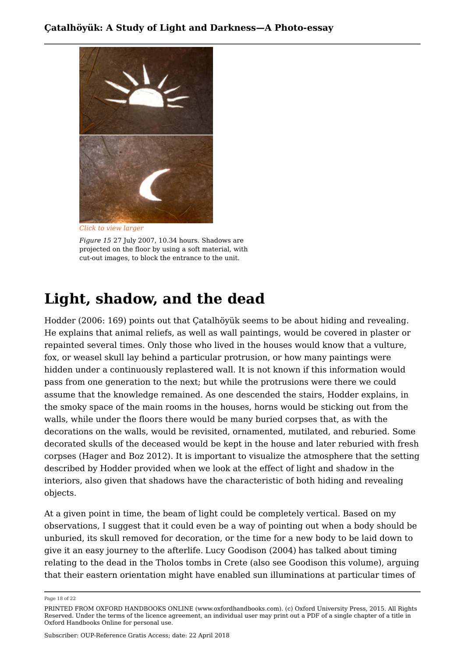

*Figure 15* 27 July 2007, 10.34 hours. Shadows are projected on the floor by using a soft material, with

cut-out images, to block the entrance to the unit.

# **Light, shadow, and the dead**

Hodder (2006: 169) points out that Çatalhöyük seems to be about hiding and revealing. He explains that animal reliefs, as well as wall paintings, would be covered in plaster or repainted several times. Only those who lived in the houses would know that a vulture, fox, or weasel skull lay behind a particular protrusion, or how many paintings were hidden under a continuously replastered wall. It is not known if this information would pass from one generation to the next; but while the protrusions were there we could assume that the knowledge remained. As one descended the stairs, Hodder explains, in the smoky space of the main rooms in the houses, horns would be sticking out from the walls, while under the floors there would be many buried corpses that, as with the decorations on the walls, would be revisited, ornamented, mutilated, and reburied. Some decorated skulls of the deceased would be kept in the house and later reburied with fresh corpses (Hager and Boz 2012). It is important to visualize the atmosphere that the setting described by Hodder provided when we look at the effect of light and shadow in the interiors, also given that shadows have the characteristic of both hiding and revealing objects.

At a given point in time, the beam of light could be completely vertical. Based on my observations, I suggest that it could even be a way of pointing out when a body should be unburied, its skull removed for decoration, or the time for a new body to be laid down to give it an easy journey to the afterlife. Lucy Goodison (2004) has talked about timing relating to the dead in the Tholos tombs in Crete (also see Goodison this volume), arguing that their eastern orientation might have enabled sun illuminations at particular times of

Page 18 of 22

PRINTED FROM OXFORD HANDBOOKS ONLINE (www.oxfordhandbooks.com). (c) Oxford University Press, 2015. All Rights Reserved. Under the terms of the licence agreement, an individual user may print out a PDF of a single chapter of a title in Oxford Handbooks Online for personal use.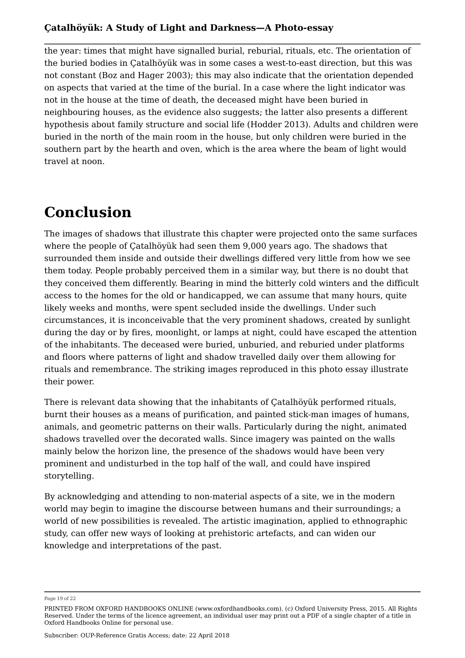the year: times that might have signalled burial, reburial, rituals, etc. The orientation of the buried bodies in Çatalhöyük was in some cases a west-to-east direction, but this was not constant (Boz and Hager 2003); this may also indicate that the orientation depended on aspects that varied at the time of the burial. In a case where the light indicator was not in the house at the time of death, the deceased might have been buried in neighbouring houses, as the evidence also suggests; the latter also presents a different hypothesis about family structure and social life (Hodder 2013). Adults and children were buried in the north of the main room in the house, but only children were buried in the southern part by the hearth and oven, which is the area where the beam of light would travel at noon.

## **Conclusion**

The images of shadows that illustrate this chapter were projected onto the same surfaces where the people of Çatalhöyük had seen them 9,000 years ago. The shadows that surrounded them inside and outside their dwellings differed very little from how we see them today. People probably perceived them in a similar way, but there is no doubt that they conceived them differently. Bearing in mind the bitterly cold winters and the difficult access to the homes for the old or handicapped, we can assume that many hours, quite likely weeks and months, were spent secluded inside the dwellings. Under such circumstances, it is inconceivable that the very prominent shadows, created by sunlight during the day or by fires, moonlight, or lamps at night, could have escaped the attention of the inhabitants. The deceased were buried, unburied, and reburied under platforms and floors where patterns of light and shadow travelled daily over them allowing for rituals and remembrance. The striking images reproduced in this photo essay illustrate their power.

There is relevant data showing that the inhabitants of Çatalhöyük performed rituals, burnt their houses as a means of purification, and painted stick-man images of humans, animals, and geometric patterns on their walls. Particularly during the night, animated shadows travelled over the decorated walls. Since imagery was painted on the walls mainly below the horizon line, the presence of the shadows would have been very prominent and undisturbed in the top half of the wall, and could have inspired storytelling.

By acknowledging and attending to non-material aspects of a site, we in the modern world may begin to imagine the discourse between humans and their surroundings; a world of new possibilities is revealed. The artistic imagination, applied to ethnographic study, can offer new ways of looking at prehistoric artefacts, and can widen our knowledge and interpretations of the past.

Page 19 of 22

PRINTED FROM OXFORD HANDBOOKS ONLINE (www.oxfordhandbooks.com). (c) Oxford University Press, 2015. All Rights Reserved. Under the terms of the licence agreement, an individual user may print out a PDF of a single chapter of a title in Oxford Handbooks Online for personal use.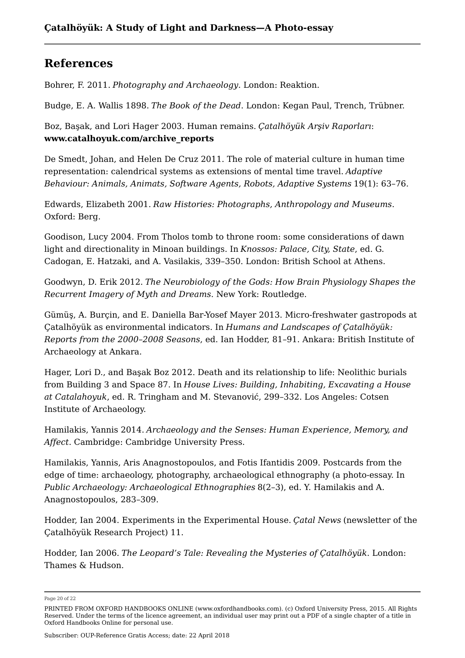## **References**

Bohrer, F. 2011. *Photography and Archaeology*. London: Reaktion.

Budge, E. A. Wallis 1898. *The Book of the Dead*. London: Kegan Paul, Trench, Trübner.

Boz, Başak, and Lori Hager 2003. Human remains. *Çatalhöyük Arşiv Raporları*: **www.catalhoyuk.com/archive\_reports**

De Smedt, Johan, and Helen De Cruz 2011. The role of material culture in human time representation: calendrical systems as extensions of mental time travel. *Adaptive Behaviour: Animals, Animats, Software Agents, Robots, Adaptive Systems* 19(1): 63–76.

Edwards, Elizabeth 2001. *Raw Histories: Photographs, Anthropology and Museums*. Oxford: Berg.

Goodison, Lucy 2004. From Tholos tomb to throne room: some considerations of dawn light and directionality in Minoan buildings. In *Knossos: Palace, City, State*, ed. G. Cadogan, E. Hatzaki, and A. Vasilakis, 339–350. London: British School at Athens.

Goodwyn, D. Erik 2012. *The Neurobiology of the Gods: How Brain Physiology Shapes the Recurrent Imagery of Myth and Dreams*. New York: Routledge.

Gümüş, A. Burçin, and E. Daniella Bar-Yosef Mayer 2013. Micro-freshwater gastropods at Çatalhöyük as environmental indicators. In *Humans and Landscapes of Çatalhöyük: Reports from the 2000–2008 Seasons*, ed. Ian Hodder, 81–91. Ankara: British Institute of Archaeology at Ankara.

Hager, Lori D., and Başak Boz 2012. Death and its relationship to life: Neolithic burials from Building 3 and Space 87. In *House Lives: Building, Inhabiting, Excavating a House at Catalahoyuk*, ed. R. Tringham and M. Stevanović, 299–332. Los Angeles: Cotsen Institute of Archaeology.

Hamilakis, Yannis 2014. *Archaeology and the Senses: Human Experience, Memory, and Affect*. Cambridge: Cambridge University Press.

Hamilakis, Yannis, Aris Anagnostopoulos, and Fotis Ifantidis 2009. Postcards from the edge of time: archaeology, photography, archaeological ethnography (a photo-essay. In *Public Archaeology: Archaeological Ethnographies* 8(2–3), ed. Y. Hamilakis and A. Anagnostopoulos, 283–309.

Hodder, Ian 2004. Experiments in the Experimental House. *Çatal News* (newsletter of the Çatalhöyük Research Project) 11.

Hodder, Ian 2006. *The Leopard's Tale: Revealing the Mysteries of Çatalhöyük*. London: Thames & Hudson.

Subscriber: OUP-Reference Gratis Access; date: 22 April 2018

Page 20 of 22

PRINTED FROM OXFORD HANDBOOKS ONLINE (www.oxfordhandbooks.com). (c) Oxford University Press, 2015. All Rights Reserved. Under the terms of the licence agreement, an individual user may print out a PDF of a single chapter of a title in Oxford Handbooks Online for personal use.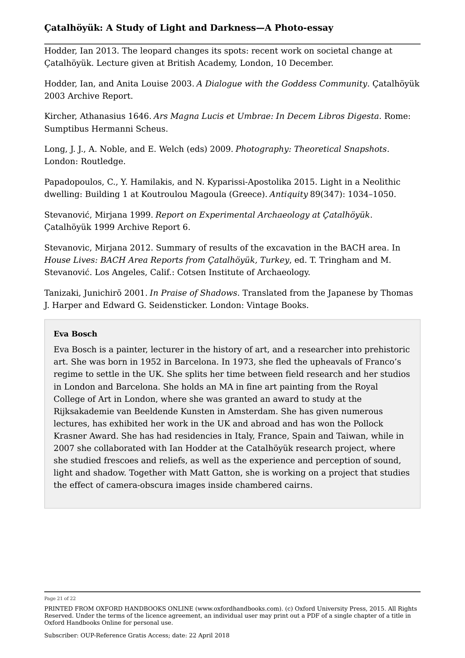Hodder, Ian 2013. The leopard changes its spots: recent work on societal change at Çatalhöyük. Lecture given at British Academy, London, 10 December.

Hodder, Ian, and Anita Louise 2003. *A Dialogue with the Goddess Community*. Çatalhöyük 2003 Archive Report.

Kircher, Athanasius 1646. *Ars Magna Lucis et Umbrae: In Decem Libros Digesta*. Rome: Sumptibus Hermanni Scheus.

Long, J. J., A. Noble, and E. Welch (eds) 2009. *Photography: Theoretical Snapshots*. London: Routledge.

Papadopoulos, C., Y. Hamilakis, and N. Kyparissi-Apostolika 2015. Light in a Neolithic dwelling: Building 1 at Koutroulou Magoula (Greece). *Antiquity* 89(347): 1034–1050.

Stevanović, Mirjana 1999. *Report on Experimental Archaeology at Çatalhöyük*. Çatalhöyük 1999 Archive Report 6.

Stevanovic, Mirjana 2012. Summary of results of the excavation in the BACH area. In *House Lives: BACH Area Reports from Çatalhöyük, Turkey*, ed. T. Tringham and M. Stevanović. Los Angeles, Calif.: Cotsen Institute of Archaeology.

Tanizaki, Junichirō 2001. *In Praise of Shadows*. Translated from the Japanese by Thomas J. Harper and Edward G. Seidensticker. London: Vintage Books.

### **Eva Bosch**

Eva Bosch is a painter, lecturer in the history of art, and a researcher into prehistoric art. She was born in 1952 in Barcelona. In 1973, she fled the upheavals of Franco's regime to settle in the UK. She splits her time between field research and her studios in London and Barcelona. She holds an MA in fine art painting from the Royal College of Art in London, where she was granted an award to study at the Rijksakademie van Beeldende Kunsten in Amsterdam. She has given numerous lectures, has exhibited her work in the UK and abroad and has won the Pollock Krasner Award. She has had residencies in Italy, France, Spain and Taiwan, while in 2007 she collaborated with Ian Hodder at the Catalhöyük research project, where she studied frescoes and reliefs, as well as the experience and perception of sound, light and shadow. Together with Matt Gatton, she is working on a project that studies the effect of camera-obscura images inside chambered cairns.

Page 21 of 22

PRINTED FROM OXFORD HANDBOOKS ONLINE (www.oxfordhandbooks.com). (c) Oxford University Press, 2015. All Rights Reserved. Under the terms of the licence agreement, an individual user may print out a PDF of a single chapter of a title in Oxford Handbooks Online for personal use.